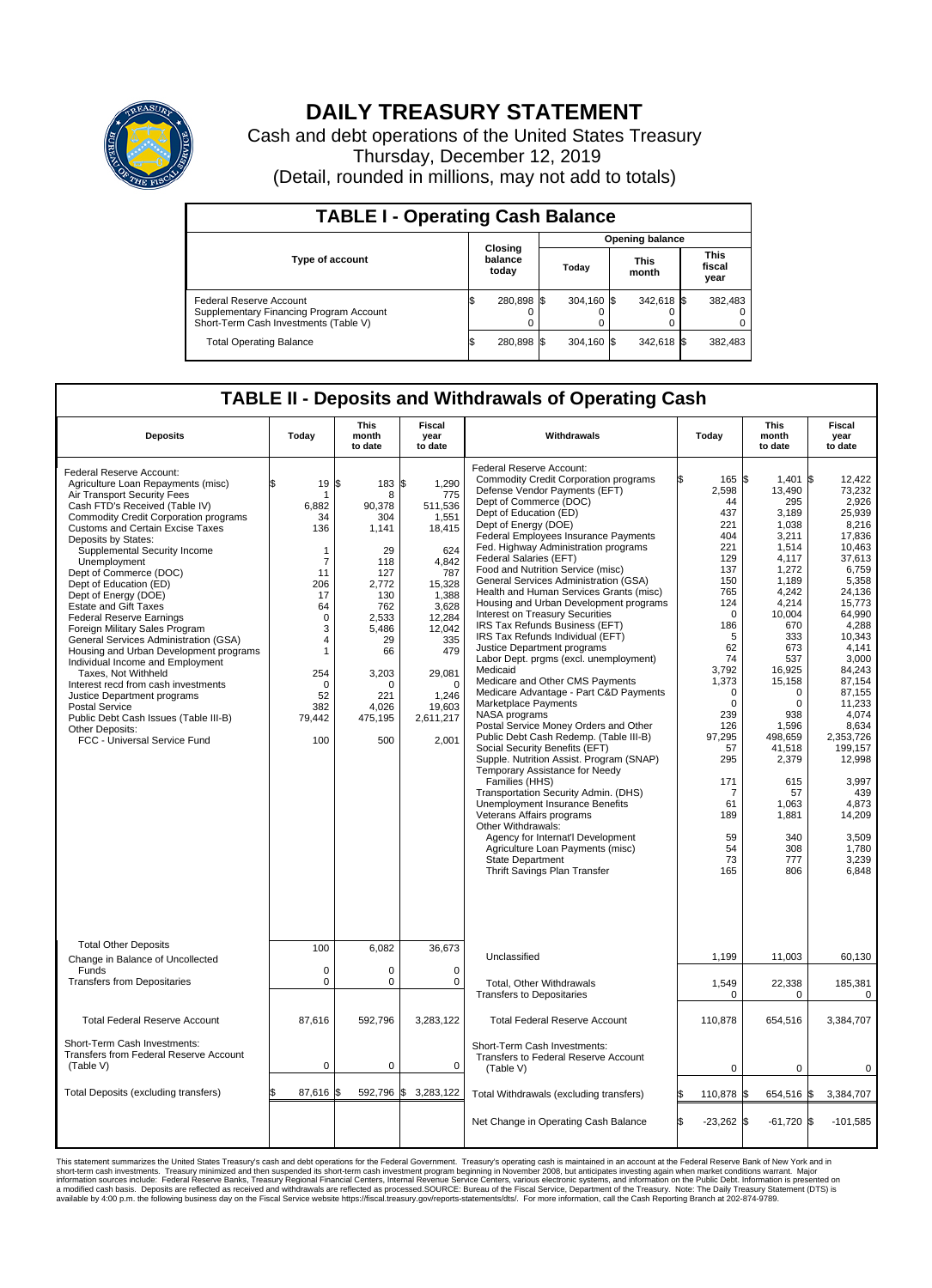

## **DAILY TREASURY STATEMENT**

Cash and debt operations of the United States Treasury Thursday, December 12, 2019 (Detail, rounded in millions, may not add to totals)

| <b>TABLE I - Operating Cash Balance</b>                                                                     |                             |            |                        |            |                      |            |                               |         |  |  |
|-------------------------------------------------------------------------------------------------------------|-----------------------------|------------|------------------------|------------|----------------------|------------|-------------------------------|---------|--|--|
|                                                                                                             | Closing<br>balance<br>today |            | <b>Opening balance</b> |            |                      |            |                               |         |  |  |
| <b>Type of account</b>                                                                                      |                             |            | Today                  |            | <b>This</b><br>month |            | <b>This</b><br>fiscal<br>year |         |  |  |
| Federal Reserve Account<br>Supplementary Financing Program Account<br>Short-Term Cash Investments (Table V) |                             | 280,898 \$ |                        | 304.160 \$ |                      | 342,618 \$ |                               | 382,483 |  |  |
| <b>Total Operating Balance</b>                                                                              | IЭ                          | 280,898 \$ |                        | 304,160 \$ |                      | 342,618 \$ |                               | 382,483 |  |  |

## **TABLE II - Deposits and Withdrawals of Operating Cash**

| <b>Deposits</b>                                                                                                                                                                                                                                                                                                                                                                                                                                                                                                                                                                                                                                                                                                                                                                                                      | Today                                                                                                                                                    | <b>This</b><br>month<br>to date                                                                                                                                              | <b>Fiscal</b><br>year<br>to date                                                                                                                                                                  | Withdrawals                                                                                                                                                                                                                                                                                                                                                                                                                                                                                                                                                                                                                                                                                                                                                                                                                                                                                                                                                                                                                                                                                                                                                                                                                                                                                 | Today                                                                                                                                                                                             | <b>This</b><br>month<br>to date                                                                                                                                                                                                                                                                                                                 | Fiscal<br>year<br>to date                                                                                                                                                                                                                                                                                                                 |
|----------------------------------------------------------------------------------------------------------------------------------------------------------------------------------------------------------------------------------------------------------------------------------------------------------------------------------------------------------------------------------------------------------------------------------------------------------------------------------------------------------------------------------------------------------------------------------------------------------------------------------------------------------------------------------------------------------------------------------------------------------------------------------------------------------------------|----------------------------------------------------------------------------------------------------------------------------------------------------------|------------------------------------------------------------------------------------------------------------------------------------------------------------------------------|---------------------------------------------------------------------------------------------------------------------------------------------------------------------------------------------------|---------------------------------------------------------------------------------------------------------------------------------------------------------------------------------------------------------------------------------------------------------------------------------------------------------------------------------------------------------------------------------------------------------------------------------------------------------------------------------------------------------------------------------------------------------------------------------------------------------------------------------------------------------------------------------------------------------------------------------------------------------------------------------------------------------------------------------------------------------------------------------------------------------------------------------------------------------------------------------------------------------------------------------------------------------------------------------------------------------------------------------------------------------------------------------------------------------------------------------------------------------------------------------------------|---------------------------------------------------------------------------------------------------------------------------------------------------------------------------------------------------|-------------------------------------------------------------------------------------------------------------------------------------------------------------------------------------------------------------------------------------------------------------------------------------------------------------------------------------------------|-------------------------------------------------------------------------------------------------------------------------------------------------------------------------------------------------------------------------------------------------------------------------------------------------------------------------------------------|
| Federal Reserve Account:<br>Agriculture Loan Repayments (misc)<br>Air Transport Security Fees<br>Cash FTD's Received (Table IV)<br><b>Commodity Credit Corporation programs</b><br><b>Customs and Certain Excise Taxes</b><br>Deposits by States:<br>Supplemental Security Income<br>Unemployment<br>Dept of Commerce (DOC)<br>Dept of Education (ED)<br>Dept of Energy (DOE)<br><b>Estate and Gift Taxes</b><br><b>Federal Reserve Earnings</b><br>Foreign Military Sales Program<br>General Services Administration (GSA)<br>Housing and Urban Development programs<br>Individual Income and Employment<br>Taxes, Not Withheld<br>Interest recd from cash investments<br>Justice Department programs<br>Postal Service<br>Public Debt Cash Issues (Table III-B)<br>Other Deposits:<br>FCC - Universal Service Fund | 19<br>\$<br>1<br>6,882<br>34<br>136<br>1<br>7<br>11<br>206<br>17<br>64<br>$\mathbf 0$<br>3<br>4<br>1<br>254<br>$\mathbf 0$<br>52<br>382<br>79,442<br>100 | 1\$<br>183 \$<br>8<br>90.378<br>304<br>1,141<br>29<br>118<br>127<br>2.772<br>130<br>762<br>2,533<br>5.486<br>29<br>66<br>3,203<br>$\Omega$<br>221<br>4,026<br>475,195<br>500 | 1,290<br>775<br>511,536<br>1,551<br>18,415<br>624<br>4,842<br>787<br>15,328<br>1,388<br>3,628<br>12,284<br>12.042<br>335<br>479<br>29,081<br>$\mathbf 0$<br>1,246<br>19,603<br>2,611,217<br>2,001 | Federal Reserve Account:<br><b>Commodity Credit Corporation programs</b><br>Defense Vendor Payments (EFT)<br>Dept of Commerce (DOC)<br>Dept of Education (ED)<br>Dept of Energy (DOE)<br><b>Federal Employees Insurance Payments</b><br>Fed. Highway Administration programs<br>Federal Salaries (EFT)<br>Food and Nutrition Service (misc)<br>General Services Administration (GSA)<br>Health and Human Services Grants (misc)<br>Housing and Urban Development programs<br><b>Interest on Treasury Securities</b><br>IRS Tax Refunds Business (EFT)<br>IRS Tax Refunds Individual (EFT)<br>Justice Department programs<br>Labor Dept. prgms (excl. unemployment)<br>Medicaid<br>Medicare and Other CMS Payments<br>Medicare Advantage - Part C&D Payments<br>Marketplace Payments<br>NASA programs<br>Postal Service Money Orders and Other<br>Public Debt Cash Redemp. (Table III-B)<br>Social Security Benefits (EFT)<br>Supple. Nutrition Assist. Program (SNAP)<br>Temporary Assistance for Needy<br>Families (HHS)<br>Transportation Security Admin. (DHS)<br>Unemployment Insurance Benefits<br>Veterans Affairs programs<br>Other Withdrawals:<br>Agency for Internat'l Development<br>Agriculture Loan Payments (misc)<br><b>State Department</b><br>Thrift Savings Plan Transfer | 2,598<br>44<br>437<br>221<br>404<br>221<br>129<br>137<br>150<br>765<br>124<br>186<br>62<br>74<br>3,792<br>1,373<br>239<br>126<br>97,295<br>57<br>295<br>171<br>61<br>189<br>59<br>54<br>73<br>165 | 165 \$<br>1.401<br>13,490<br>295<br>3,189<br>1,038<br>3,211<br>1,514<br>4.117<br>1,272<br>1,189<br>4,242<br>4,214<br>$\mathbf 0$<br>10,004<br>670<br>333<br>5<br>673<br>537<br>16,925<br>15,158<br>0<br>0<br>$\Omega$<br>$\Omega$<br>938<br>1,596<br>498,659<br>41,518<br>2,379<br>615<br>57<br>7<br>1,063<br>1,881<br>340<br>308<br>777<br>806 | l\$<br>12,422<br>73.232<br>2,926<br>25,939<br>8.216<br>17,836<br>10,463<br>37,613<br>6,759<br>5,358<br>24,136<br>15,773<br>64,990<br>4,288<br>10.343<br>4,141<br>3.000<br>84,243<br>87.154<br>87,155<br>11,233<br>4,074<br>8,634<br>2,353,726<br>199.157<br>12,998<br>3.997<br>439<br>4,873<br>14,209<br>3,509<br>1,780<br>3,239<br>6.848 |
| <b>Total Other Deposits</b><br>Change in Balance of Uncollected                                                                                                                                                                                                                                                                                                                                                                                                                                                                                                                                                                                                                                                                                                                                                      | 100                                                                                                                                                      | 6,082                                                                                                                                                                        | 36,673                                                                                                                                                                                            | Unclassified                                                                                                                                                                                                                                                                                                                                                                                                                                                                                                                                                                                                                                                                                                                                                                                                                                                                                                                                                                                                                                                                                                                                                                                                                                                                                | 1,199                                                                                                                                                                                             | 11,003                                                                                                                                                                                                                                                                                                                                          | 60,130                                                                                                                                                                                                                                                                                                                                    |
| Funds<br><b>Transfers from Depositaries</b>                                                                                                                                                                                                                                                                                                                                                                                                                                                                                                                                                                                                                                                                                                                                                                          | $\mathbf 0$<br>$\mathbf 0$                                                                                                                               | 0<br>0                                                                                                                                                                       | 0<br>$\mathbf 0$                                                                                                                                                                                  | <b>Total. Other Withdrawals</b><br><b>Transfers to Depositaries</b>                                                                                                                                                                                                                                                                                                                                                                                                                                                                                                                                                                                                                                                                                                                                                                                                                                                                                                                                                                                                                                                                                                                                                                                                                         | 1,549                                                                                                                                                                                             | 22,338<br>0<br>0                                                                                                                                                                                                                                                                                                                                | 185,381<br>0                                                                                                                                                                                                                                                                                                                              |
| <b>Total Federal Reserve Account</b>                                                                                                                                                                                                                                                                                                                                                                                                                                                                                                                                                                                                                                                                                                                                                                                 | 87,616                                                                                                                                                   | 592,796                                                                                                                                                                      | 3,283,122                                                                                                                                                                                         | <b>Total Federal Reserve Account</b>                                                                                                                                                                                                                                                                                                                                                                                                                                                                                                                                                                                                                                                                                                                                                                                                                                                                                                                                                                                                                                                                                                                                                                                                                                                        | 110,878                                                                                                                                                                                           | 654,516                                                                                                                                                                                                                                                                                                                                         | 3,384,707                                                                                                                                                                                                                                                                                                                                 |
| Short-Term Cash Investments:<br>Transfers from Federal Reserve Account<br>(Table V)                                                                                                                                                                                                                                                                                                                                                                                                                                                                                                                                                                                                                                                                                                                                  | $\pmb{0}$                                                                                                                                                | 0                                                                                                                                                                            | 0                                                                                                                                                                                                 | Short-Term Cash Investments:<br>Transfers to Federal Reserve Account<br>(Table V)                                                                                                                                                                                                                                                                                                                                                                                                                                                                                                                                                                                                                                                                                                                                                                                                                                                                                                                                                                                                                                                                                                                                                                                                           |                                                                                                                                                                                                   | $\mathbf 0$<br>0                                                                                                                                                                                                                                                                                                                                | 0                                                                                                                                                                                                                                                                                                                                         |
| Total Deposits (excluding transfers)                                                                                                                                                                                                                                                                                                                                                                                                                                                                                                                                                                                                                                                                                                                                                                                 | 87,616<br>\$                                                                                                                                             | 592,796<br>\$                                                                                                                                                                | \$<br>3,283,122                                                                                                                                                                                   | Total Withdrawals (excluding transfers)                                                                                                                                                                                                                                                                                                                                                                                                                                                                                                                                                                                                                                                                                                                                                                                                                                                                                                                                                                                                                                                                                                                                                                                                                                                     | 110,878 \$                                                                                                                                                                                        | 654,516 \$                                                                                                                                                                                                                                                                                                                                      | 3,384,707                                                                                                                                                                                                                                                                                                                                 |
|                                                                                                                                                                                                                                                                                                                                                                                                                                                                                                                                                                                                                                                                                                                                                                                                                      |                                                                                                                                                          |                                                                                                                                                                              |                                                                                                                                                                                                   | Net Change in Operating Cash Balance                                                                                                                                                                                                                                                                                                                                                                                                                                                                                                                                                                                                                                                                                                                                                                                                                                                                                                                                                                                                                                                                                                                                                                                                                                                        | \$.<br>$-23,262$ \$                                                                                                                                                                               | $-61,720$ \$                                                                                                                                                                                                                                                                                                                                    | $-101,585$                                                                                                                                                                                                                                                                                                                                |

This statement summarizes the United States Treasury's cash and debt operations for the Federal Government. Treasury soperating in November 2008, but anticiarded in a cocount at the Federal metaformation sources investment